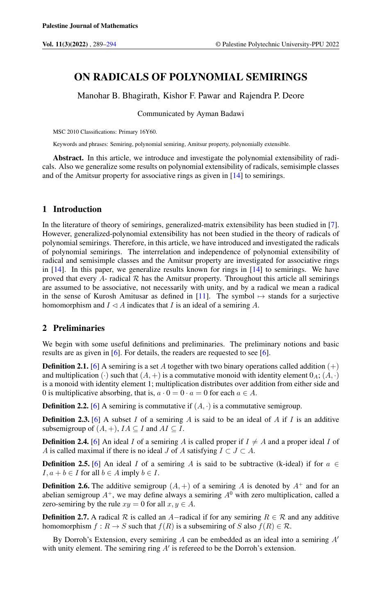# ON RADICALS OF POLYNOMIAL SEMIRINGS

Manohar B. Bhagirath, Kishor F. Pawar and Rajendra P. Deore

Communicated by Ayman Badawi

MSC 2010 Classifications: Primary 16Y60.

Keywords and phrases: Semiring, polynomial semiring, Amitsur property, polynomially extensible.

Abstract. In this article, we introduce and investigate the polynomial extensibility of radicals. Also we generalize some results on polynomial extensibility of radicals, semisimple classes and of the Amitsur property for associative rings as given in [\[14\]](#page-5-0) to semirings.

## 1 Introduction

In the literature of theory of semirings, generalized-matrix extensibility has been studied in [\[7\]](#page-4-1). However, generalized-polynomial extensibility has not been studied in the theory of radicals of polynomial semirings. Therefore, in this article, we have introduced and investigated the radicals of polynomial semirings. The interrelation and independence of polynomial extensibility of radical and semisimple classes and the Amitsur property are investigated for associative rings in  $[14]$ . In this paper, we generalize results known for rings in  $[14]$  to semirings. We have proved that every  $\overline{A}$ - radical  $\overline{R}$  has the Amitsur property. Throughout this article all semirings are assumed to be associative, not necessarily with unity, and by a radical we mean a radical in the sense of Kurosh Amitusar as defined in [\[11\]](#page-5-1). The symbol  $\mapsto$  stands for a surjective homomorphism and  $I \triangleleft A$  indicates that I is an ideal of a semiring A.

## 2 Preliminaries

We begin with some useful definitions and preliminaries. The preliminary notions and basic results are as given in [\[6\]](#page-4-2). For details, the readers are requested to see [\[6\]](#page-4-2).

**Definition 2.1.** [\[6\]](#page-4-2) A semiring is a set A together with two binary operations called addition  $(+)$ and multiplication ( $\cdot$ ) such that  $(A, +)$  is a commutative monoid with identity element  $0_A$ ;  $(A, \cdot)$ is a monoid with identity element 1; multiplication distributes over addition from either side and 0 is multiplicative absorbing, that is,  $a \cdot 0 = 0 \cdot a = 0$  for each  $a \in A$ .

**Definition 2.2.** [\[6\]](#page-4-2) A semiring is commutative if  $(A, \cdot)$  is a commutative semigroup.

**Definition 2.3.** [\[6\]](#page-4-2) A subset I of a semiring A is said to be an ideal of A if I is an additive subsemigroup of  $(A, +)$ ,  $IA \subseteq I$  and  $AI \subseteq I$ .

**Definition 2.4.** [\[6\]](#page-4-2) An ideal I of a semiring A is called proper if  $I \neq A$  and a proper ideal I of A is called maximal if there is no ideal J of A satisfying  $I \subset J \subset A$ .

**Definition 2.5.** [\[6\]](#page-4-2) An ideal I of a semiring A is said to be subtractive (k-ideal) if for  $a \in$  $I, a + b \in I$  for all  $b \in A$  imply  $b \in I$ .

**Definition 2.6.** The additive semigroup  $(A,+)$  of a semiring A is denoted by  $A^+$  and for an abelian semigroup  $A^+$ , we may define always a semiring  $A^0$  with zero multiplication, called a zero-semiring by the rule  $xy = 0$  for all  $x, y \in A$ .

**Definition 2.7.** A radical  $\mathcal R$  is called an A-radical if for any semiring  $R \in \mathcal R$  and any additive homomorphism  $f: R \to S$  such that  $f(R)$  is a subsemiring of S also  $f(R) \in \mathcal{R}$ .

By Dorroh's Extension, every semiring A can be embedded as an ideal into a semiring  $A'$ with unity element. The semiring ring  $A'$  is refereed to be the Dorroh's extension.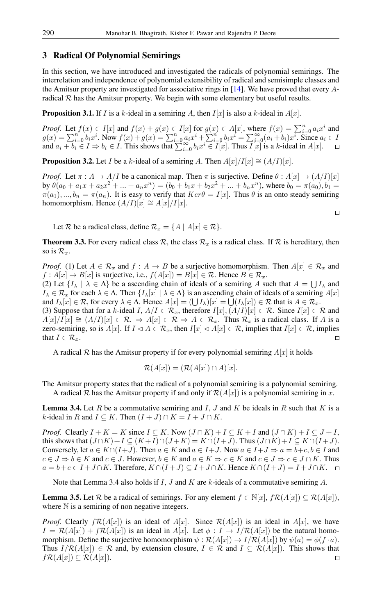## 3 Radical Of Polynomial Semirings

In this section, we have introduced and investigated the radicals of polynomial semirings. The interrelation and independence of polynomial extensibility of radical and semisimple classes and the Amitsur property are investigated for associative rings in [\[14\]](#page-5-0). We have proved that every Aradical  $R$  has the Amitsur property. We begin with some elementary but useful results.

**Proposition 3.1.** If I is a k-ideal in a semiring A, then  $I[x]$  is also a k-ideal in  $A[x]$ .

*Proof.* Let  $f(x) \in I[x]$  and  $f(x) + g(x) \in I[x]$  for  $g(x) \in A[x]$ , where  $f(x) = \sum_{i=0}^{n} a_i x^i$  and  $g(x) = \sum_{i=0}^{n} b_i x^i$ . Now  $f(x) + g(x) = \sum_{i=0}^{n} a_i x^i + \sum_{i=0}^{n} b_i x^i = \sum_{i=0}^{\infty} (a_i + b_i) x^i$ . Since  $a_i \in B$ and  $a_i + b_i \in I \Rightarrow b_i \in I$ . This shows that  $\sum_{i=0}^{\infty} b_i x^i \in I[x]$ . Thus  $\overline{I[x]}$  is a k-ideal in  $A[x]$ .  $\Box$ 

**Proposition 3.2.** Let *I* be a k-ideal of a semiring A. Then  $A[x]/I[x] \cong (A/I)[x]$ .

*Proof.* Let  $\pi : A \to A/I$  be a canonical map. Then  $\pi$  is surjective. Define  $\theta : A[x] \to (A/I)[x]$ by  $\theta(a_0 + a_1x + a_2x^2 + \dots + a_nx^n) = (b_0 + b_1x + b_2x^2 + \dots + b_nx^n)$ , where  $b_0 = \pi(a_0), b_1 =$  $\pi(a_1), ..., b_n = \pi(a_n)$ . It is easy to verify that  $Ker\theta = I[x]$ . Thus  $\theta$  is an onto steady semiring homomorphism. Hence  $(A/I)[x] \cong A[x]/I[x]$ .

 $\Box$ 

Let R be a radical class, define  $\mathcal{R}_x = \{A \mid A[x] \in \mathcal{R}\}.$ 

**Theorem 3.3.** For every radical class  $\mathcal{R}$ , the class  $\mathcal{R}_x$  is a radical class. If  $\mathcal{R}$  is hereditary, then so is  $\mathcal{R}_x$ .

*Proof.* (1) Let  $A \in \mathcal{R}_x$  and  $f : A \to B$  be a surjective homomorphism. Then  $A[x] \in \mathcal{R}_x$  and  $f: A[x] \to B[x]$  is surjective, i.e.,  $f(A[x]) = B[x] \in \mathcal{R}$ . Hence  $B \in \mathcal{R}_x$ .

(2) Let  $\{I_\lambda \mid \lambda \in \Delta\}$  be a ascending chain of ideals of a semiring A such that  $A = \bigcup I_\lambda$  and  $I_\lambda \in \mathcal{R}_x$  for each  $\lambda \in \Delta$ . Then  $\{I_\lambda[x] \mid \lambda \in \Delta\}$  is an ascending chain of ideals of a semiring  $A[x]$ and  $I_\lambda[x] \in \mathcal{R}$ , for every  $\lambda \in \Delta$ . Hence  $A[x] = (\bigcup I_\lambda)[x] = \bigcup (I_\lambda[x]) \in \mathcal{R}$  that is  $A \in \mathcal{R}_x$ .

(3) Suppose that for a k-ideal I,  $A/I \in \mathcal{R}_x$ , therefore  $I[x], (A/I)[x] \in \mathcal{R}$ . Since  $I[x] \in \mathcal{R}$  and  $A[x]/I[x] \cong (A/I)[x] \in \mathcal{R}$ .  $\Rightarrow$   $A[x] \in \mathcal{R}$   $\Rightarrow$   $A \in \mathcal{R}_x$ . Thus  $\mathcal{R}_x$  is a radical class. If A is a zero-semiring, so is  $A[x]$ . If  $I \triangleleft A \in \mathcal{R}_x$ , then  $I[x] \triangleleft A[x] \in \mathcal{R}$ , implies that  $I[x] \in \mathcal{R}$ , implies that  $I \in \mathcal{R}_r$ .

A radical R has the Amitsur property if for every polynomial semiring  $A[x]$  it holds

$$
\mathcal{R}(A[x]) = (\mathcal{R}(A[x]) \cap A)[x].
$$

The Amitsur property states that the radical of a polynomial semiring is a polynomial semiring. A radical R has the Amitsur property if and only if  $\mathcal{R}(A[x])$  is a polynomial semiring in x.

**Lemma 3.4.** Let R be a commutative semiring and I, J and K be ideals in R such that K is a k-ideal in R and  $I \subseteq K$ . Then  $(I + J) \cap K = I + J \cap K$ .

*Proof.* Clearly  $I + K = K$  since  $I \subseteq K$ . Now  $(J \cap K) + I \subseteq K + I$  and  $(J \cap K) + I \subseteq J + I$ , this shows that  $(J \cap K)+I \subseteq (K+I) \cap (J+K) = K \cap (I+J)$ . Thus  $(J \cap K)+I \subseteq K \cap (I+J)$ . Conversely, let  $a \in K \cap (I+J)$ . Then  $a \in K$  and  $a \in I+J$ . Now  $a \in I+J \Rightarrow a = b+c, b \in I$  and  $c \in J \Rightarrow b \in K$  and  $c \in J$ . However,  $b \in K$  and  $a \in K \Rightarrow c \in K$  and  $c \in J \Rightarrow c \in J \cap K$ . Thus  $a = b+c \in I + J \cap K$ . Therefore,  $K \cap (I+J) \subseteq I + J \cap K$ . Hence  $K \cap (I+J) = I + J \cap K$ .  $\Box$ 

Note that Lemma 3.4 also holds if  $I$ ,  $J$  and  $K$  are  $k$ -ideals of a commutative semiring  $A$ .

**Lemma 3.5.** Let R be a radical of semirings. For any element  $f \in \mathbb{N}[x]$ ,  $f \mathcal{R}(A[x]) \subseteq \mathcal{R}(A[x])$ , where  $N$  is a semiring of non negative integers.

*Proof.* Clearly  $f\mathcal{R}(A[x])$  is an ideal of  $A[x]$ . Since  $\mathcal{R}(A[x])$  is an ideal in  $A[x]$ , we have  $I = \mathcal{R}(A[x]) + f\mathcal{R}(A[x])$  is an ideal in  $A[x]$ . Let  $\phi : I \to I/\mathcal{R}(A[x])$  be the natural homomorphism. Define the surjective homomorphism  $\psi : \mathcal{R}(A[x]) \to I/\mathcal{R}(A[x])$  by  $\psi(a) = \phi(f \cdot a)$ . Thus  $I/R(A[x]) \in \mathcal{R}$  and, by extension closure,  $I \in \mathcal{R}$  and  $I \subseteq \mathcal{R}(A[x])$ . This shows that  $f\mathcal{R}(A[x]) \subseteq \mathcal{R}(A[x]).$  $\Box$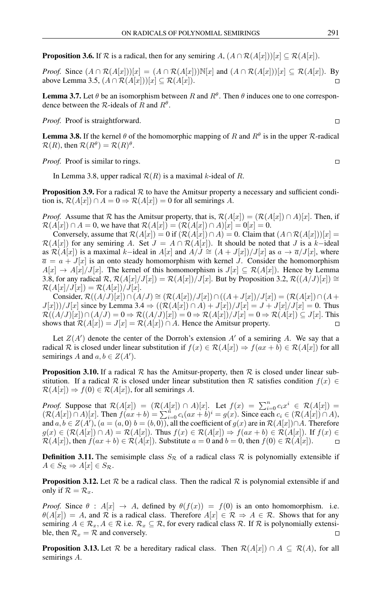**Proposition 3.6.** If  $\mathcal R$  is a radical, then for any semiring A,  $(A \cap \mathcal R(A[x]))[x] \subseteq \mathcal R(A[x])$ .

*Proof.* Since  $(A \cap \mathcal{R}(A[x]))[x] = (A \cap \mathcal{R}(A[x]))\mathbb{N}[x]$  and  $(A \cap \mathcal{R}(A[x]))[x] \subseteq \mathcal{R}(A[x])$ . By above Lemma 3.5,  $(A \cap \mathcal{R}(A[x]))[x] \subseteq \mathcal{R}(A[x])$ .  $\Box$ 

**Lemma 3.7.** Let  $\theta$  be an isomorphism between R and  $R^{\theta}$ . Then  $\theta$  induces one to one correspondence between the R-ideals of R and  $R^{\theta}$ .

Proof. Proof is straightforward.

**Lemma 3.8.** If the kernel  $\theta$  of the homomorphic mapping of R and  $R^{\theta}$  is in the upper R-radical  $\mathcal{R}(R)$ , then  $\mathcal{R}(R^{\theta}) = \mathcal{R}(R)^{\theta}$ .

*Proof.* Proof is similar to rings.

In Lemma 3.8, upper radical  $\mathcal{R}(R)$  is a maximal k-ideal of R.

**Proposition 3.9.** For a radical  $\mathcal R$  to have the Amitsur property a necessary and sufficient condition is,  $\mathcal{R}(A[x]) \cap A = 0 \Rightarrow \mathcal{R}(A[x]) = 0$  for all semirings A.

*Proof.* Assume that R has the Amitsur property, that is,  $\mathcal{R}(A[x]) = (\mathcal{R}(A[x]) \cap A)[x]$ . Then, if  $\mathcal{R}(A[x]) \cap A = 0$ , we have that  $\mathcal{R}(A[x]) = (\mathcal{R}(A[x]) \cap A)[x] = 0[x] = 0$ .

Conversely, assume that  $\mathcal{R}(A[x]) = 0$  if  $(\mathcal{R}(A[x]) \cap A) = 0$ . Claim that  $(A \cap \mathcal{R}(A[x]))[x] =$  $\mathcal{R}(A[x])$  for any semiring A. Set  $J = A \cap \mathcal{R}(A[x])$ . It should be noted that J is a k-ideal as  $\mathcal{R}(A[x])$  is a maximal k–ideal in  $A[x]$  and  $A/J \cong (A + J[x])/J[x]$  as  $a \to \overline{a}/J[x]$ , where  $\overline{a} = a + J[x]$  is an onto steady homomorphism with kernel J. Consider the homomorphism  $A[x] \to A[x]/J[x]$ . The kernel of this homomorphism is  $J[x] \subseteq \mathcal{R}(A[x])$ . Hence by Lemma 3.8, for any radical  $\mathcal{R}, \mathcal{R}(A[x]/J[x]) = \mathcal{R}(A[x])/J[x]$ . But by Proposition 3.2,  $\mathcal{R}((A/J)[x]) \cong$  $\mathcal{R}(A[x]/J[x]) = \mathcal{R}(A[x])/J[x].$ 

Consider,  $\mathcal{R}((A/J)[x]) \cap (A/J) \cong (\mathcal{R}(A[x])/J[x]) \cap ((A + J[x])/J[x]) = (\mathcal{R}(A[x]) \cap (A +$  $J[x])/J[x]$  since by Lemma 3.4  $\Rightarrow ((\mathcal{R}(A[x]) \cap A) + J[x]/J[x] = J + J[x]/J[x] = 0$ . Thus  $\mathcal{R}((A/J)[x]) \cap (A/J) = 0 \Rightarrow \mathcal{R}((A/J)[x]) = 0 \Rightarrow \mathcal{R}(A[x])/J[x] = 0 \Rightarrow \mathcal{R}(A[x]) \subseteq J[x]$ . This shows that  $\mathcal{R}(A[x]) = J[x] = \mathcal{R}(A[x]) \cap A$ . Hence the Amitsur property.

Let  $Z(A')$  denote the center of the Dorroh's extension  $A'$  of a semiring A. We say that a radical R is closed under linear substitution if  $f(x) \in \mathcal{R}(A[x]) \Rightarrow f(ax + b) \in \mathcal{R}(A[x])$  for all semirings A and  $a, b \in Z(A')$ .

**Proposition 3.10.** If a radical  $\mathcal{R}$  has the Amitsur-property, then  $\mathcal{R}$  is closed under linear substitution. If a radical R is closed under linear substitution then R satisfies condition  $f(x) \in$  $\mathcal{R}(A[x]) \Rightarrow f(0) \in \mathcal{R}(A[x])$ , for all semirings A.

*Proof.* Suppose that  $\mathcal{R}(A[x]) = (\mathcal{R}(\underline{A}[x]) \cap A)[x]$ . Let  $f(x) = \sum_{i=0}^{n} c_i x^i \in \mathcal{R}(A[x])$  $(\mathcal{R}(A[x]) \cap A)[x]$ . Then  $f(ax+b) = \sum_{i=0}^{n} c_i(ax+b)^i = g(x)$ . Since each  $c_i \in (\mathcal{R}(A[x]) \cap A)$ , and  $a, b \in Z(A')$ ,  $(a = (a, 0) b = (b, 0))$ , all the coefficient of  $g(x)$  are in  $\mathcal{R}(A[x]) \cap A$ . Therefore  $g(x) \in (\mathcal{R}(A[x]) \cap A) = \mathcal{R}(A[x])$ . Thus  $f(x) \in \mathcal{R}(A[x]) \Rightarrow f(ax+b) \in \mathcal{R}(A[x])$ . If  $f(x) \in$  $\mathcal{R}(A[x])$ , then  $f(ax + b) \in \mathcal{R}(A[x])$ . Substitute  $a = 0$  and  $b = 0$ , then  $f(0) \in \mathcal{R}(A[x])$ .  $\Box$ 

**Definition 3.11.** The semisimple class  $S_R$  of a radical class  $R$  is polynomially extensible if  $A \in S_{\mathcal{R}} \Rightarrow A[x] \in S_{\mathcal{R}}.$ 

**Proposition 3.12.** Let  $\mathcal{R}$  be a radical class. Then the radical  $\mathcal{R}$  is polynomial extensible if and only if  $\mathcal{R} = \mathcal{R}_x$ .

*Proof.* Since  $\theta$  :  $A[x] \rightarrow A$ , defined by  $\theta(f(x)) = f(0)$  is an onto homomorphism. i.e.  $\theta(A[x]) = A$ , and R is a radical class. Therefore  $A[x] \in \mathcal{R} \Rightarrow A \in \mathcal{R}$ . Shows that for any semiring  $A \in \mathcal{R}_x, A \in \mathcal{R}$  i.e.  $\mathcal{R}_x \subseteq \mathcal{R}$ , for every radical class  $\mathcal{R}$ . If  $\mathcal{R}$  is polynomially extensible, then  $\mathcal{R}_x = \mathcal{R}$  and conversely.

**Proposition 3.13.** Let R be a hereditary radical class. Then  $\mathcal{R}(A[x]) \cap A \subseteq \mathcal{R}(A)$ , for all semirings A.

 $\Box$ 

 $\Box$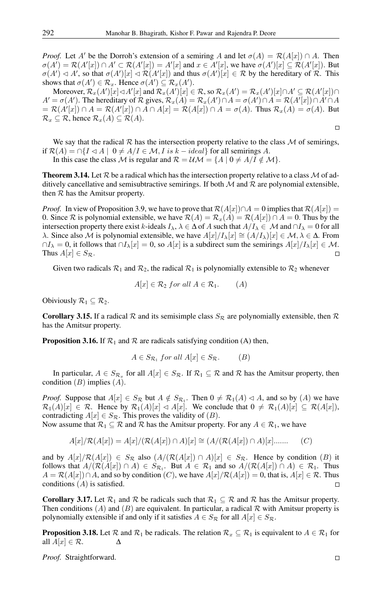*Proof.* Let A' be the Dorroh's extension of a semiring A and let  $\sigma(A) = \mathcal{R}(A[x]) \cap A$ . Then  $\sigma(A') = \mathcal{R}(A'[x]) \cap A' \subset \mathcal{R}(A'[x]) = A'[x]$  and  $x \in A'[x]$ , we have  $\sigma(A')[x] \subseteq \mathcal{R}(A'[x])$ . But  $\sigma(A') \lhd A'$ , so that  $\sigma(A')[x] \lhd \mathcal{R}(A'[x])$  and thus  $\sigma(A')[x] \in \mathcal{R}$  by the hereditary of  $\mathcal{R}$ . This shows that  $\sigma(A') \in \mathcal{R}_x$ . Hence  $\sigma(A') \subseteq \mathcal{R}_x(A')$ .

Moreover,  $\mathcal{R}_x(A')[x] \triangleleft A'[x]$  and  $\mathcal{R}_x(A')[x] \in \mathcal{R}$ , so  $\mathcal{R}_x(A') = \mathcal{R}_x(A')[x] \cap A' \subseteq \mathcal{R}(A'[x]) \cap A$  $A' = \sigma(A')$ . The hereditary of R gives,  $\mathcal{R}_x(A) = \mathcal{R}_x(A') \cap A = \sigma(A') \cap A = \mathcal{R}(A'[x]) \cap A' \cap A$  $= \mathcal{R}(A'[x]) \cap A = \mathcal{R}(A'[x]) \cap A \cap A[x] = \mathcal{R}(A[x]) \cap A = \sigma(A)$ . Thus  $\mathcal{R}_x(A) = \sigma(A)$ . But  $\mathcal{R}_x \subseteq \mathcal{R}$ , hence  $\mathcal{R}_x(A) \subseteq \mathcal{R}(A)$ .

We say that the radical  $R$  has the intersection property relative to the class  $M$  of semirings, if  $\mathcal{R}(A) = \bigcap \{I \triangleleft A \mid 0 \neq A/I \in \mathcal{M}, I \text{ is } k - ideal\}$  for all semirings A. In this case the class M is regular and  $\mathcal{R} = \mathcal{U}\mathcal{M} = \{A \mid 0 \neq A/I \notin \mathcal{M}\}.$ 

**Theorem 3.14.** Let  $\mathcal{R}$  be a radical which has the intersection property relative to a class  $\mathcal{M}$  of additively cancellative and semisubtractive semirings. If both  $M$  and  $R$  are polynomial extensible, then  $R$  has the Amitsur property.

*Proof.* In view of Proposition 3.9, we have to prove that  $\mathcal{R}(A[x]) \cap A = 0$  implies that  $\mathcal{R}(A[x]) =$ 0. Since R is polynomial extensible, we have  $\mathcal{R}(A) = \mathcal{R}_x(A) = \mathcal{R}(A[x]) \cap A = 0$ . Thus by the intersection property there exist k-ideals  $I_\lambda$ ,  $\lambda \in \Delta$  of A such that  $A/I_\lambda \in \mathcal{M}$  and  $\cap I_\lambda = 0$  for all λ. Since also *M* is polynomial extensible, we have  $A[x]/I_\lambda[x] \cong (A/I_\lambda)[x] \in M$ ,  $\lambda \in \Delta$ . From  $\cap I_\lambda = 0$ , it follows that  $\cap I_\lambda[x] = 0$ , so  $A[x]$  is a subdirect sum the semirings  $A[x]/I_\lambda[x] \in \mathcal{M}$ . Thus  $A[x] \in S_{\mathcal{R}}$ .

Given two radicals  $\mathcal{R}_1$  and  $\mathcal{R}_2$ , the radical  $\mathcal{R}_1$  is polynomially extensible to  $\mathcal{R}_2$  whenever

$$
A[x] \in \mathcal{R}_2 \text{ for all } A \in \mathcal{R}_1. \qquad (A)
$$

Obiviously  $\mathcal{R}_1 \subseteq \mathcal{R}_2$ .

**Corollary 3.15.** If a radical  $\mathcal R$  and its semisimple class  $S_{\mathcal R}$  are polynomially extensible, then  $\mathcal R$ has the Amitsur property.

**Proposition 3.16.** If  $\mathcal{R}_1$  and  $\mathcal{R}$  are radicals satisfying condition (A) then,

$$
A \in S_{\mathcal{R}_1} \text{ for all } A[x] \in S_{\mathcal{R}}.\tag{B}
$$

In particular,  $A \in S_{\mathcal{R}_x}$  for all  $A[x] \in S_{\mathcal{R}}$ . If  $\mathcal{R}_1 \subseteq \mathcal{R}$  and  $\mathcal{R}$  has the Amitsur property, then condition  $(B)$  implies  $(A)$ .

*Proof.* Suppose that  $A[x] \in S_{\mathcal{R}}$  but  $A \notin S_{\mathcal{R}_1}$ . Then  $0 \neq \mathcal{R}_1(A) \lhd A$ , and so by  $(A)$  we have  $\mathcal{R}_1(A)[x] \in \mathcal{R}$ . Hence by  $\mathcal{R}_1(A)[x] \triangleleft A[x]$ . We conclude that  $0 \neq \mathcal{R}_1(A)[x] \subseteq \mathcal{R}(A[x])$ , contradicting  $A[x] \in S_{\mathcal{R}}$ . This proves the validity of  $(B)$ .

Now assume that  $\mathcal{R}_1 \subseteq \mathcal{R}$  and  $\mathcal{R}$  has the Amitsur property. For any  $A \in \mathcal{R}_1$ , we have

$$
A[x]/\mathcal{R}(A[x]) = A[x]/(\mathcal{R}(A[x]) \cap A)[x] \cong (A/(\mathcal{R}(A[x]) \cap A)[x] \dots \dots \qquad (C)
$$

and by  $A[x]/\mathcal{R}(A[x]) \in S_{\mathcal{R}}$  also  $(A/(\mathcal{R}(A[x]) \cap A)[x] \in S_{\mathcal{R}}$ . Hence by condition  $(B)$  it follows that  $A/(\mathcal{R}(A[x]) \cap A) \in S_{\mathcal{R}_1}$ . But  $A \in \mathcal{R}_1$  and so  $A/(\mathcal{R}(A[x]) \cap A) \in \mathcal{R}_1$ . Thus  $A = \mathcal{R}(A[x]) \cap A$ , and so by condition  $(C)$ , we have  $A[x]/\mathcal{R}(A[x]) = 0$ , that is,  $A[x] \in \mathcal{R}$ . Thus conditions  $(A)$  is satisfied.

**Corollary 3.17.** Let  $\mathcal{R}_1$  and  $\mathcal{R}$  be radicals such that  $\mathcal{R}_1 \subseteq \mathcal{R}$  and  $\mathcal{R}$  has the Amitsur property. Then conditions (A) and (B) are equivalent. In particular, a radical  $\mathcal R$  with Amitsur property is polynomially extensible if and only if it satisfies  $A \in S_{\mathcal{R}}$  for all  $A[x] \in S_{\mathcal{R}}$ .

**Proposition 3.18.** Let R and  $\mathcal{R}_1$  be radicals. The relation  $\mathcal{R}_x \subseteq \mathcal{R}_1$  is equivalent to  $A \in \mathcal{R}_1$  for all  $A[x] \in \mathcal{R}$ .  $\Delta$ 

*Proof.* Straightforward.

 $\Box$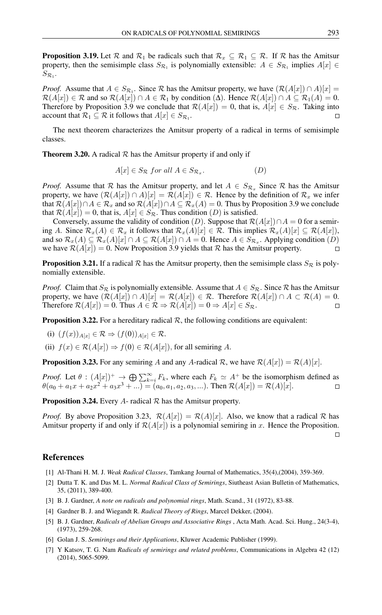**Proposition 3.19.** Let  $\mathcal{R}$  and  $\mathcal{R}_1$  be radicals such that  $\mathcal{R}_x \subseteq \mathcal{R}_1 \subseteq \mathcal{R}$ . If  $\mathcal{R}$  has the Amitsur property, then the semisimple class  $S_{\mathcal{R}_1}$  is polynomially extensible:  $A \in S_{\mathcal{R}_1}$  implies  $A[x] \in$  $S_{\mathcal{R}_{1}}$ .

*Proof.* Assume that  $A \in S_{\mathcal{R}_1}$ . Since R has the Amitsur property, we have  $(\mathcal{R}(A|x)) \cap A)|x| =$  $\mathcal{R}(A[x]) \in \mathcal{R}$  and so  $\mathcal{R}(A[x]) \cap A \in \mathcal{R}_1$  by condition ( $\Delta$ ). Hence  $\mathcal{R}(A[x]) \cap A \subseteq \mathcal{R}_1(A) = 0$ . Therefore by Proposition 3.9 we conclude that  $\mathcal{R}(A[x]) = 0$ , that is,  $A[x] \in S_{\mathcal{R}}$ . Taking into account that  $\mathcal{R}_1 \subseteq \mathcal{R}$  it follows that  $A[x] \in S_{\mathcal{R}_1}$ .  $\Box$ 

The next theorem characterizes the Amitsur property of a radical in terms of semisimple classes.

**Theorem 3.20.** A radical  $\mathcal{R}$  has the Amitsur property if and only if

$$
A[x] \in S_{\mathcal{R}} \text{ for all } A \in S_{\mathcal{R}_x}.\tag{D}
$$

*Proof.* Assume that R has the Amitsur property, and let  $A \in S_{\mathcal{R}_x}$  Since R has the Amitsur property, we have  $(R(A[x]) \cap A)[x] = R(A[x]) \in \mathcal{R}$ . Hence by the definition of  $\mathcal{R}_x$  we infer that  $\mathcal{R}(A[x]) \cap A \in \mathcal{R}_x$  and so  $\mathcal{R}(A[x]) \cap A \subseteq \mathcal{R}_x(A) = 0$ . Thus by Proposition 3.9 we conclude that  $\mathcal{R}(A[x]) = 0$ , that is,  $A[x] \in S_{\mathcal{R}}$ . Thus condition  $(D)$  is satisfied.

Conversely, assume the validity of condition (D). Suppose that  $\mathcal{R}(A[x]) \cap A = 0$  for a semiring A. Since  $\mathcal{R}_x(A) \in \mathcal{R}_x$  it follows that  $\mathcal{R}_x(A)[x] \in \mathcal{R}$ . This implies  $\mathcal{R}_x(A)[x] \subseteq \mathcal{R}(A[x])$ , and so  $\mathcal{R}_x(A) \subseteq \mathcal{R}_x(A)[x] \cap A \subseteq \mathcal{R}(A[x]) \cap A = 0$ . Hence  $A \in S_{\mathcal{R}_x}$ . Applying condition  $(D)$ we have  $\mathcal{R}(A[x]) = 0$ . Now Proposition 3.9 yields that R has the Amitsur property.  $\Box$ 

**Proposition 3.21.** If a radical R has the Amitsur property, then the semisimple class  $S_R$  is polynomially extensible.

*Proof.* Claim that  $S_R$  is polynomially extensible. Assume that  $A \in S_R$ . Since  $R$  has the Amitsur property, we have  $(\mathcal{R}(A[x]) \cap A)[x] = \mathcal{R}(A[x]) \in \mathcal{R}$ . Therefore  $\mathcal{R}(A[x]) \cap A \subset \mathcal{R}(A) = 0$ . Therefore  $\mathcal{R}(A[x]) = 0$ . Thus  $A \in \mathcal{R} \Rightarrow \mathcal{R}(A[x]) = 0 \Rightarrow A[x] \in S_{\mathcal{R}}$ .  $\Box$ 

**Proposition 3.22.** For a hereditary radical  $\mathcal{R}$ , the following conditions are equivalent:

(i) 
$$
(f(x))_{A[x]} \in \mathcal{R} \Rightarrow (f(0))_{A[x]} \in \mathcal{R}
$$
.

(ii)  $f(x) \in \mathcal{R}(A[x]) \Rightarrow f(0) \in \mathcal{R}(A[x])$ , for all semiring A.

**Proposition 3.23.** For any semiring A and any A-radical R, we have  $\mathcal{R}(A[x]) = \mathcal{R}(A)[x]$ .

*Proof.* Let  $\theta$  :  $(A[x])^+$   $\rightarrow \bigoplus \sum_{k=i}^{\infty} F_k$ , where each  $F_k \simeq A^+$  be the isomorphism defined as  $\theta(a_0 + a_1x + a_2x^2 + a_3x^3 + ...) = (a_0, a_1, a_2, a_3, ...)$ . Then  $\mathcal{R}(A[x]) = \mathcal{R}(A)[x]$ .  $\Box$ 

**Proposition 3.24.** Every A- radical  $\mathcal{R}$  has the Amitsur property.

*Proof.* By above Proposition 3.23,  $\mathcal{R}(A[x]) = \mathcal{R}(A)[x]$ . Also, we know that a radical  $\mathcal R$  has Amitsur property if and only if  $\mathcal{R}(A[x])$  is a polynomial semiring in x. Hence the Proposition.  $\Box$ 

#### <span id="page-4-0"></span>References

- [1] Al-Thani H. M. J. *Weak Radical Classes*, Tamkang Journal of Mathematics, 35(4),(2004), 359-369.
- [2] Dutta T. K. and Das M. L. *Normal Radical Class of Semirings*, Siutheast Asian Bulletin of Mathematics, 35, (2011), 389-400.
- [3] B. J. Gardner, *A note on radicals and polynomial rings*, Math. Scand., 31 (1972), 83-88.
- [4] Gardner B. J. and Wiegandt R. *Radical Theory of Rings*, Marcel Dekker, (2004).
- [5] B. J. Gardner, *Radicals of Abelian Groups and Associative Rings* , Acta Math. Acad. Sci. Hung., 24(3-4), (1973), 259-268.
- <span id="page-4-2"></span>[6] Golan J. S. *Semirings and their Applications*, Kluwer Academic Publisher (1999).
- <span id="page-4-1"></span>[7] Y Katsov, T. G. Nam *Radicals of semirings and related problems*, Communications in Algebra 42 (12) (2014), 5065-5099.